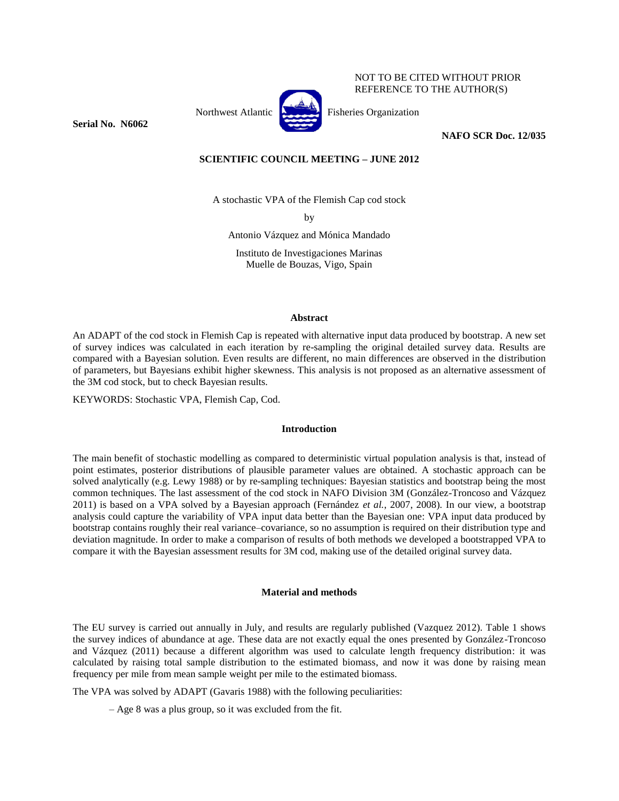

NOT TO BE CITED WITHOUT PRIOR REFERENCE TO THE AUTHOR(S)

**Serial No. N6062**

## **NAFO SCR Doc. 12/035**

# **SCIENTIFIC COUNCIL MEETING – JUNE 2012**

A stochastic VPA of the Flemish Cap cod stock

by

Antonio Vázquez and Mónica Mandado

Instituto de Investigaciones Marinas Muelle de Bouzas, Vigo, Spain

# **Abstract**

An ADAPT of the cod stock in Flemish Cap is repeated with alternative input data produced by bootstrap. A new set of survey indices was calculated in each iteration by re-sampling the original detailed survey data. Results are compared with a Bayesian solution. Even results are different, no main differences are observed in the distribution of parameters, but Bayesians exhibit higher skewness. This analysis is not proposed as an alternative assessment of the 3M cod stock, but to check Bayesian results.

KEYWORDS: Stochastic VPA, Flemish Cap, Cod.

### **Introduction**

The main benefit of stochastic modelling as compared to deterministic virtual population analysis is that, instead of point estimates, posterior distributions of plausible parameter values are obtained. A stochastic approach can be solved analytically (e.g. Lewy 1988) or by re-sampling techniques: Bayesian statistics and bootstrap being the most common techniques. The last assessment of the cod stock in NAFO Division 3M (González-Troncoso and Vázquez 2011) is based on a VPA solved by a Bayesian approach (Fernández *et al.*, 2007, 2008). In our view, a bootstrap analysis could capture the variability of VPA input data better than the Bayesian one: VPA input data produced by bootstrap contains roughly their real variance–covariance, so no assumption is required on their distribution type and deviation magnitude. In order to make a comparison of results of both methods we developed a bootstrapped VPA to compare it with the Bayesian assessment results for 3M cod, making use of the detailed original survey data.

### **Material and methods**

The EU survey is carried out annually in July, and results are regularly published (Vazquez 2012). Table 1 shows the survey indices of abundance at age. These data are not exactly equal the ones presented by González-Troncoso and Vázquez (2011) because a different algorithm was used to calculate length frequency distribution: it was calculated by raising total sample distribution to the estimated biomass, and now it was done by raising mean frequency per mile from mean sample weight per mile to the estimated biomass.

The VPA was solved by ADAPT (Gavaris 1988) with the following peculiarities:

– Age 8 was a plus group, so it was excluded from the fit.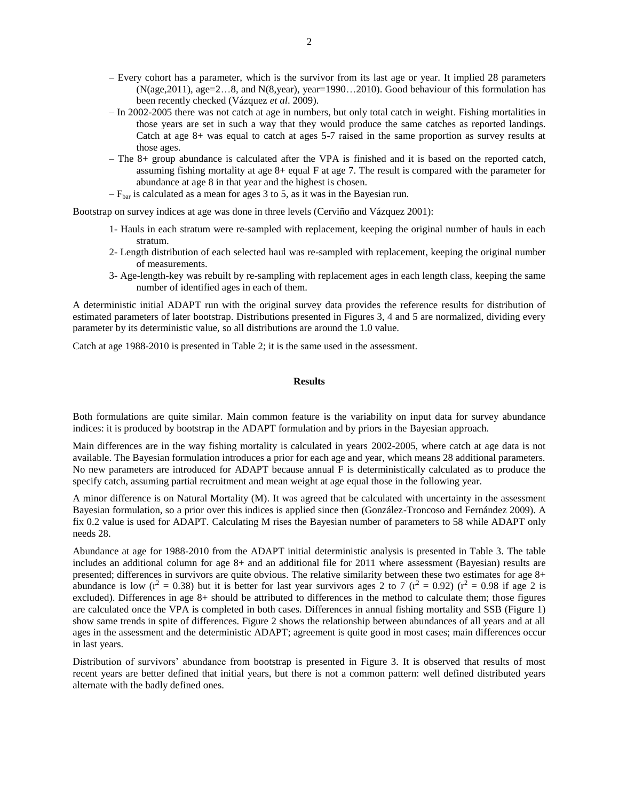- Every cohort has a parameter, which is the survivor from its last age or year. It implied 28 parameters  $(N(age, 2011), age=2...8, and N(8, year), year=1990...2010)$ . Good behaviour of this formulation has been recently checked (Vázquez *et al*. 2009).
- In 2002-2005 there was not catch at age in numbers, but only total catch in weight. Fishing mortalities in those years are set in such a way that they would produce the same catches as reported landings. Catch at age 8+ was equal to catch at ages 5-7 raised in the same proportion as survey results at those ages.
- The 8+ group abundance is calculated after the VPA is finished and it is based on the reported catch, assuming fishing mortality at age  $8+$  equal F at age 7. The result is compared with the parameter for abundance at age 8 in that year and the highest is chosen.
- $-F_{\text{bar}}$  is calculated as a mean for ages 3 to 5, as it was in the Bayesian run.

Bootstrap on survey indices at age was done in three levels (Cerviño and Vázquez 2001):

- 1- Hauls in each stratum were re-sampled with replacement, keeping the original number of hauls in each stratum.
- 2- Length distribution of each selected haul was re-sampled with replacement, keeping the original number of measurements.
- 3- Age-length-key was rebuilt by re-sampling with replacement ages in each length class, keeping the same number of identified ages in each of them.

A deterministic initial ADAPT run with the original survey data provides the reference results for distribution of estimated parameters of later bootstrap. Distributions presented in Figures 3, 4 and 5 are normalized, dividing every parameter by its deterministic value, so all distributions are around the 1.0 value.

Catch at age 1988-2010 is presented in Table 2; it is the same used in the assessment.

#### **Results**

Both formulations are quite similar. Main common feature is the variability on input data for survey abundance indices: it is produced by bootstrap in the ADAPT formulation and by priors in the Bayesian approach.

Main differences are in the way fishing mortality is calculated in years 2002-2005, where catch at age data is not available. The Bayesian formulation introduces a prior for each age and year, which means 28 additional parameters. No new parameters are introduced for ADAPT because annual F is deterministically calculated as to produce the specify catch, assuming partial recruitment and mean weight at age equal those in the following year.

A minor difference is on Natural Mortality (M). It was agreed that be calculated with uncertainty in the assessment Bayesian formulation, so a prior over this indices is applied since then (González-Troncoso and Fernández 2009). A fix 0.2 value is used for ADAPT. Calculating M rises the Bayesian number of parameters to 58 while ADAPT only needs 28.

Abundance at age for 1988-2010 from the ADAPT initial deterministic analysis is presented in Table 3. The table includes an additional column for age 8+ and an additional file for 2011 where assessment (Bayesian) results are presented; differences in survivors are quite obvious. The relative similarity between these two estimates for age 8+ abundance is low ( $r^2 = 0.38$ ) but it is better for last year survivors ages 2 to 7 ( $r^2 = 0.92$ ) ( $r^2 = 0.98$  if age 2 is excluded). Differences in age 8+ should be attributed to differences in the method to calculate them; those figures are calculated once the VPA is completed in both cases. Differences in annual fishing mortality and SSB (Figure 1) show same trends in spite of differences. Figure 2 shows the relationship between abundances of all years and at all ages in the assessment and the deterministic ADAPT; agreement is quite good in most cases; main differences occur in last years.

Distribution of survivors' abundance from bootstrap is presented in Figure 3. It is observed that results of most recent years are better defined that initial years, but there is not a common pattern: well defined distributed years alternate with the badly defined ones.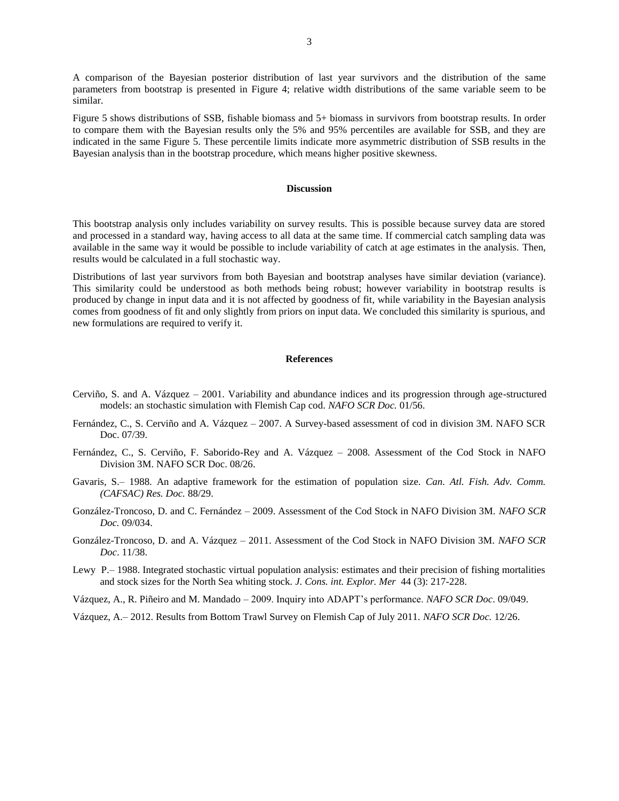A comparison of the Bayesian posterior distribution of last year survivors and the distribution of the same parameters from bootstrap is presented in Figure 4; relative width distributions of the same variable seem to be similar.

Figure 5 shows distributions of SSB, fishable biomass and 5+ biomass in survivors from bootstrap results. In order to compare them with the Bayesian results only the 5% and 95% percentiles are available for SSB, and they are indicated in the same Figure 5. These percentile limits indicate more asymmetric distribution of SSB results in the Bayesian analysis than in the bootstrap procedure, which means higher positive skewness.

#### **Discussion**

This bootstrap analysis only includes variability on survey results. This is possible because survey data are stored and processed in a standard way, having access to all data at the same time. If commercial catch sampling data was available in the same way it would be possible to include variability of catch at age estimates in the analysis. Then, results would be calculated in a full stochastic way.

Distributions of last year survivors from both Bayesian and bootstrap analyses have similar deviation (variance). This similarity could be understood as both methods being robust; however variability in bootstrap results is produced by change in input data and it is not affected by goodness of fit, while variability in the Bayesian analysis comes from goodness of fit and only slightly from priors on input data. We concluded this similarity is spurious, and new formulations are required to verify it.

# **References**

- Cerviño, S. and A. Vázquez 2001. Variability and abundance indices and its progression through age-structured models: an stochastic simulation with Flemish Cap cod. *NAFO SCR Doc.* 01/56.
- Fernández, C., S. Cerviño and A. Vázquez 2007. A Survey-based assessment of cod in division 3M. NAFO SCR Doc. 07/39.
- Fernández, C., S. Cerviño, F. Saborido-Rey and A. Vázquez 2008. Assessment of the Cod Stock in NAFO Division 3M. NAFO SCR Doc. 08/26.
- Gavaris, S.– 1988. An adaptive framework for the estimation of population size. *Can. Atl. Fish. Adv. Comm. (CAFSAC) Res. Doc.* 88/29.
- González-Troncoso, D. and C. Fernández 2009. Assessment of the Cod Stock in NAFO Division 3M. *NAFO SCR Doc.* 09/034.
- González-Troncoso, D. and A. Vázquez 2011. Assessment of the Cod Stock in NAFO Division 3M. *NAFO SCR Doc*. 11/38.
- Lewy P.– 1988. Integrated stochastic virtual population analysis: estimates and their precision of fishing mortalities and stock sizes for the North Sea whiting stock. *J. Cons. int. Explor. Mer* 44 (3): 217-228.
- Vázquez, A., R. Piñeiro and M. Mandado 2009. Inquiry into ADAPT's performance. *NAFO SCR Doc*. 09/049.

Vázquez, A.– 2012. Results from Bottom Trawl Survey on Flemish Cap of July 2011. *NAFO SCR Doc.* 12/26.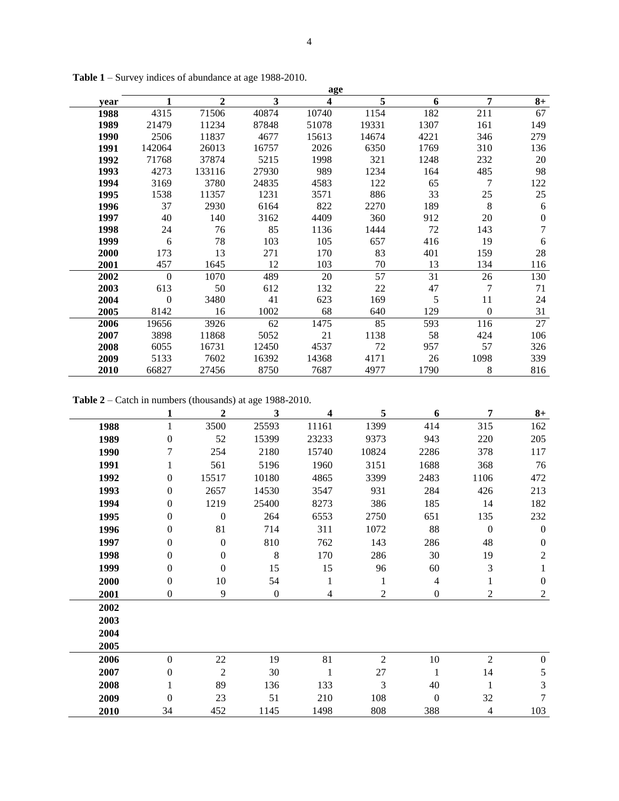|      | age      |        |       |       |       |      |              |          |  |
|------|----------|--------|-------|-------|-------|------|--------------|----------|--|
| year | 1        | 2      | 3     | 4     | 5     | 6    | 7            | $8+$     |  |
| 1988 | 4315     | 71506  | 40874 | 10740 | 1154  | 182  | 211          | 67       |  |
| 1989 | 21479    | 11234  | 87848 | 51078 | 19331 | 1307 | 161          | 149      |  |
| 1990 | 2506     | 11837  | 4677  | 15613 | 14674 | 4221 | 346          | 279      |  |
| 1991 | 142064   | 26013  | 16757 | 2026  | 6350  | 1769 | 310          | 136      |  |
| 1992 | 71768    | 37874  | 5215  | 1998  | 321   | 1248 | 232          | 20       |  |
| 1993 | 4273     | 133116 | 27930 | 989   | 1234  | 164  | 485          | 98       |  |
| 1994 | 3169     | 3780   | 24835 | 4583  | 122   | 65   | 7            | 122      |  |
| 1995 | 1538     | 11357  | 1231  | 3571  | 886   | 33   | 25           | 25       |  |
| 1996 | 37       | 2930   | 6164  | 822   | 2270  | 189  | 8            | 6        |  |
| 1997 | 40       | 140    | 3162  | 4409  | 360   | 912  | 20           | $\theta$ |  |
| 1998 | 24       | 76     | 85    | 1136  | 1444  | 72   | 143          | 7        |  |
| 1999 | 6        | 78     | 103   | 105   | 657   | 416  | 19           | 6        |  |
| 2000 | 173      | 13     | 271   | 170   | 83    | 401  | 159          | 28       |  |
| 2001 | 457      | 1645   | 12    | 103   | 70    | 13   | 134          | 116      |  |
| 2002 | $\Omega$ | 1070   | 489   | 20    | 57    | 31   | 26           | 130      |  |
| 2003 | 613      | 50     | 612   | 132   | 22    | 47   | 7            | 71       |  |
| 2004 | $\Omega$ | 3480   | 41    | 623   | 169   | 5    | 11           | 24       |  |
| 2005 | 8142     | 16     | 1002  | 68    | 640   | 129  | $\mathbf{0}$ | 31       |  |
| 2006 | 19656    | 3926   | 62    | 1475  | 85    | 593  | 116          | 27       |  |
| 2007 | 3898     | 11868  | 5052  | 21    | 1138  | 58   | 424          | 106      |  |
| 2008 | 6055     | 16731  | 12450 | 4537  | 72    | 957  | 57           | 326      |  |
| 2009 | 5133     | 7602   | 16392 | 14368 | 4171  | 26   | 1098         | 339      |  |
| 2010 | 66827    | 27456  | 8750  | 7687  | 4977  | 1790 | 8            | 816      |  |

**Table 1** – Survey indices of abundance at age 1988-2010.

**Table 2** – Catch in numbers (thousands) at age 1988-2010.

|      | 1                | 2                | 3                | 4     | 5              | 6            | 7                | $8+$             |
|------|------------------|------------------|------------------|-------|----------------|--------------|------------------|------------------|
| 1988 | 1                | 3500             | 25593            | 11161 | 1399           | 414          | 315              | 162              |
| 1989 | $\overline{0}$   | 52               | 15399            | 23233 | 9373           | 943          | 220              | 205              |
| 1990 | 7                | 254              | 2180             | 15740 | 10824          | 2286         | 378              | 117              |
| 1991 |                  | 561              | 5196             | 1960  | 3151           | 1688         | 368              | 76               |
| 1992 | $\overline{0}$   | 15517            | 10180            | 4865  | 3399           | 2483         | 1106             | 472              |
| 1993 | $\overline{0}$   | 2657             | 14530            | 3547  | 931            | 284          | 426              | 213              |
| 1994 | $\boldsymbol{0}$ | 1219             | 25400            | 8273  | 386            | 185          | 14               | 182              |
| 1995 | $\boldsymbol{0}$ | $\boldsymbol{0}$ | 264              | 6553  | 2750           | 651          | 135              | 232              |
| 1996 | 0                | 81               | 714              | 311   | 1072           | 88           | $\boldsymbol{0}$ | $\boldsymbol{0}$ |
| 1997 | $\theta$         | $\boldsymbol{0}$ | 810              | 762   | 143            | 286          | 48               | $\mathbf{0}$     |
| 1998 | 0                | $\boldsymbol{0}$ | 8                | 170   | 286            | 30           | 19               | $\overline{c}$   |
| 1999 | $\overline{0}$   | $\mathbf{0}$     | 15               | 15    | 96             | 60           | 3                | 1                |
| 2000 | $\overline{0}$   | 10               | 54               | 1     | 1              | 4            |                  | $\boldsymbol{0}$ |
| 2001 | 0                | 9                | $\boldsymbol{0}$ | 4     | 2              | $\mathbf{0}$ | 2                | $\mathfrak{2}$   |
| 2002 |                  |                  |                  |       |                |              |                  |                  |
| 2003 |                  |                  |                  |       |                |              |                  |                  |
| 2004 |                  |                  |                  |       |                |              |                  |                  |
| 2005 |                  |                  |                  |       |                |              |                  |                  |
| 2006 | $\overline{0}$   | 22               | 19               | 81    | $\overline{2}$ | 10           | 2                | $\overline{0}$   |
| 2007 | $\overline{0}$   | $\overline{2}$   | 30               | 1     | 27             | 1            | 14               | 5                |
| 2008 |                  | 89               | 136              | 133   | 3              | 40           |                  | 3                |
| 2009 | $\overline{0}$   | 23               | 51               | 210   | 108            | $\theta$     | 32               | 7                |
| 2010 | 34               | 452              | 1145             | 1498  | 808            | 388          | 4                | 103              |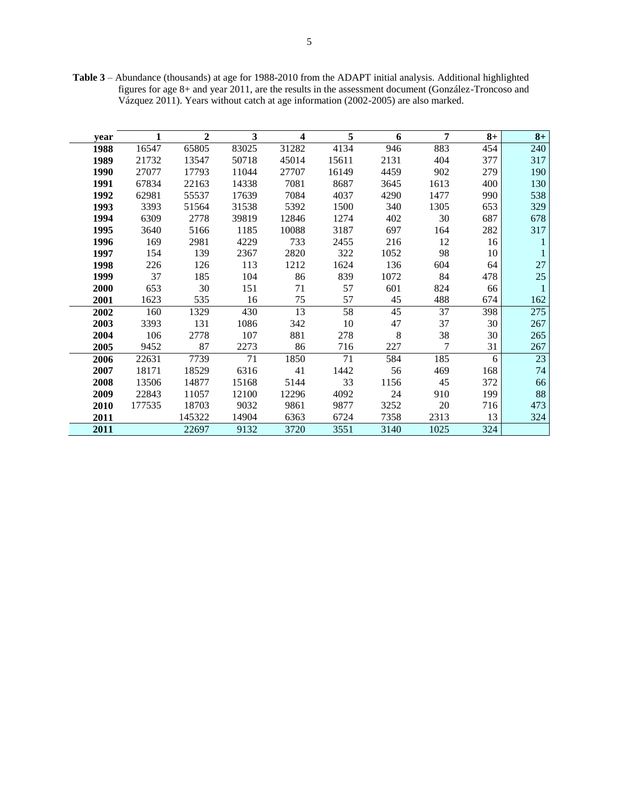**Table 3** – Abundance (thousands) at age for 1988-2010 from the ADAPT initial analysis. Additional highlighted figures for age 8+ and year 2011, are the results in the assessment document (González-Troncoso and Vázquez 2011). Years without catch at age information (2002-2005) are also marked.

| year |        | $\mathbf{2}$ | 3     | 4     | 5     | 6    | 7    | $8+$ | $8+$ |
|------|--------|--------------|-------|-------|-------|------|------|------|------|
| 1988 | 16547  | 65805        | 83025 | 31282 | 4134  | 946  | 883  | 454  | 240  |
| 1989 | 21732  | 13547        | 50718 | 45014 | 15611 | 2131 | 404  | 377  | 317  |
| 1990 | 27077  | 17793        | 11044 | 27707 | 16149 | 4459 | 902  | 279  | 190  |
| 1991 | 67834  | 22163        | 14338 | 7081  | 8687  | 3645 | 1613 | 400  | 130  |
| 1992 | 62981  | 55537        | 17639 | 7084  | 4037  | 4290 | 1477 | 990  | 538  |
| 1993 | 3393   | 51564        | 31538 | 5392  | 1500  | 340  | 1305 | 653  | 329  |
| 1994 | 6309   | 2778         | 39819 | 12846 | 1274  | 402  | 30   | 687  | 678  |
| 1995 | 3640   | 5166         | 1185  | 10088 | 3187  | 697  | 164  | 282  | 317  |
| 1996 | 169    | 2981         | 4229  | 733   | 2455  | 216  | 12   | 16   |      |
| 1997 | 154    | 139          | 2367  | 2820  | 322   | 1052 | 98   | 10   |      |
| 1998 | 226    | 126          | 113   | 1212  | 1624  | 136  | 604  | 64   | 27   |
| 1999 | 37     | 185          | 104   | 86    | 839   | 1072 | 84   | 478  | 25   |
| 2000 | 653    | 30           | 151   | 71    | 57    | 601  | 824  | 66   |      |
| 2001 | 1623   | 535          | 16    | 75    | 57    | 45   | 488  | 674  | 162  |
| 2002 | 160    | 1329         | 430   | 13    | 58    | 45   | 37   | 398  | 275  |
| 2003 | 3393   | 131          | 1086  | 342   | 10    | 47   | 37   | 30   | 267  |
| 2004 | 106    | 2778         | 107   | 881   | 278   | 8    | 38   | 30   | 265  |
| 2005 | 9452   | 87           | 2273  | 86    | 716   | 227  | 7    | 31   | 267  |
| 2006 | 22631  | 7739         | 71    | 1850  | 71    | 584  | 185  | 6    | 23   |
| 2007 | 18171  | 18529        | 6316  | 41    | 1442  | 56   | 469  | 168  | 74   |
| 2008 | 13506  | 14877        | 15168 | 5144  | 33    | 1156 | 45   | 372  | 66   |
| 2009 | 22843  | 11057        | 12100 | 12296 | 4092  | 24   | 910  | 199  | 88   |
| 2010 | 177535 | 18703        | 9032  | 9861  | 9877  | 3252 | 20   | 716  | 473  |
| 2011 |        | 145322       | 14904 | 6363  | 6724  | 7358 | 2313 | 13   | 324  |
| 2011 |        | 22697        | 9132  | 3720  | 3551  | 3140 | 1025 | 324  |      |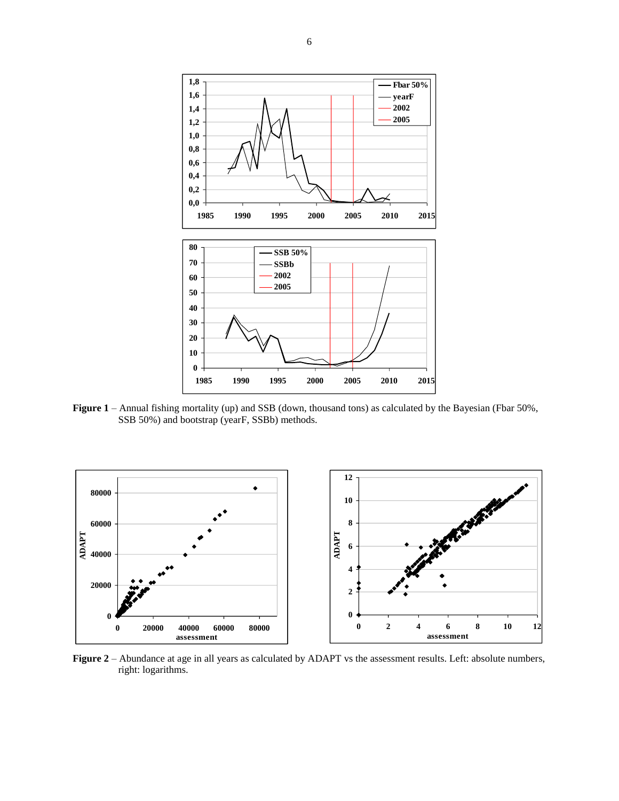

**Figure 1** – Annual fishing mortality (up) and SSB (down, thousand tons) as calculated by the Bayesian (Fbar 50%, SSB 50%) and bootstrap (yearF, SSBb) methods.



**Figure 2** – Abundance at age in all years as calculated by ADAPT vs the assessment results. Left: absolute numbers, right: logarithms.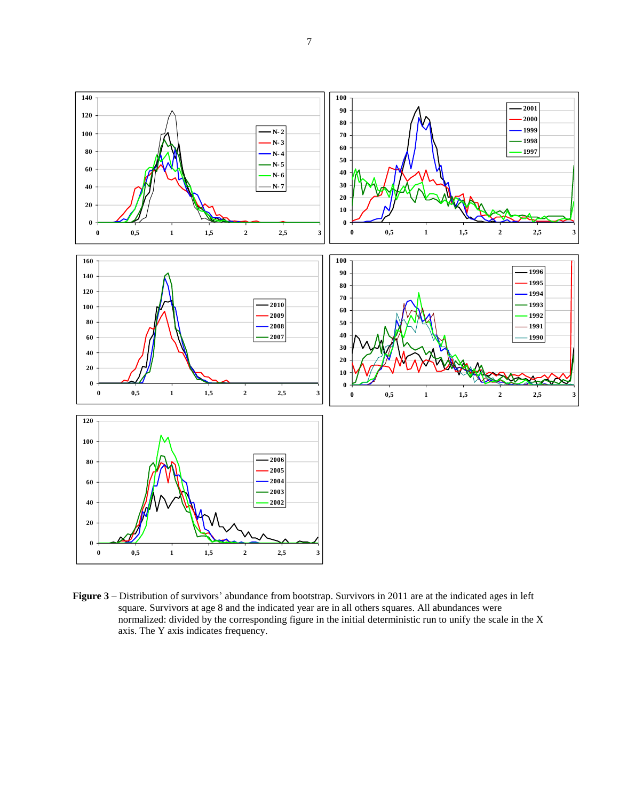**0 2 0 4 0 6 0 8 0 100 120 140 0 0,5 1 1,5 2 2,5 3 N- 2 N- 3 N- 4 N- 5 N- 6 N- 7 0 2 0 4 0 6 0 8 0 100 120 140 160 0 0,5 1 1,5 2 2,5 3 2010 2009 2008 2007 0 2 0 4 0 6 0 8 0 100 120 2006 2005 2004 2003 2002 0 1 0 2 0 3 0 4 0 5 0 6 0 7 0 8 0 9 0 100 0 0,5 1 1,5 2 2,5 3 2001 2000 1999 1998 1997 0 1 0 2 0 3 0 4 0 5 0 6 0 7 0 8 0 9 0 100 0 0,5 1 1,5 2 2,5 3 1996 1995 1994 1993 1992 1991 1990**

**Figure 3** – Distribution of survivors' abundance from bootstrap. Survivors in 2011 are at the indicated ages in left square. Survivors at age 8 and the indicated year are in all others squares. All abundances were normalized: divided by the corresponding figure in the initial deterministic run to unify the scale in the X axis. The Y axis indicates frequency.

**0 0,5 1 1,5 2 2,5 3**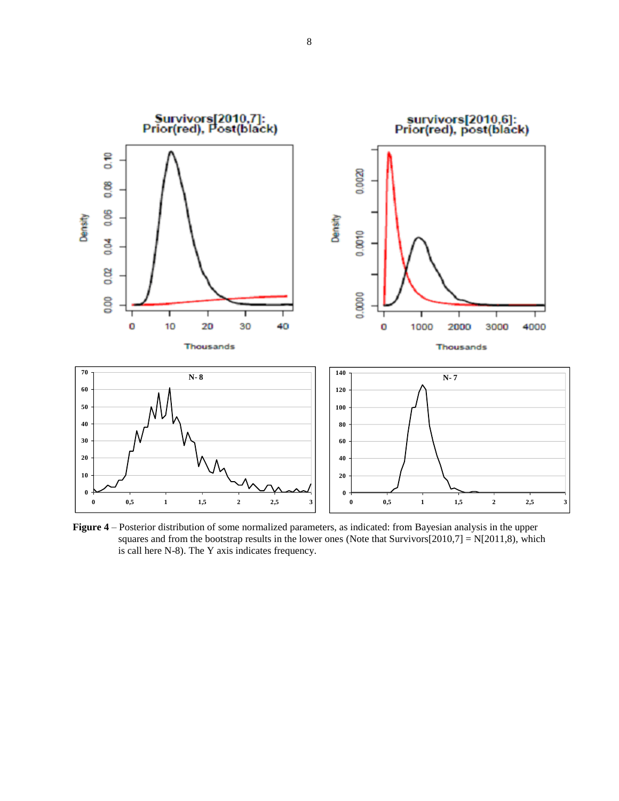![](_page_7_Figure_0.jpeg)

**Figure 4** – Posterior distribution of some normalized parameters, as indicated: from Bayesian analysis in the upper squares and from the bootstrap results in the lower ones (Note that Survivors $[2010,7] = N[2011,8)$ , which is call here N-8). The Y axis indicates frequency.